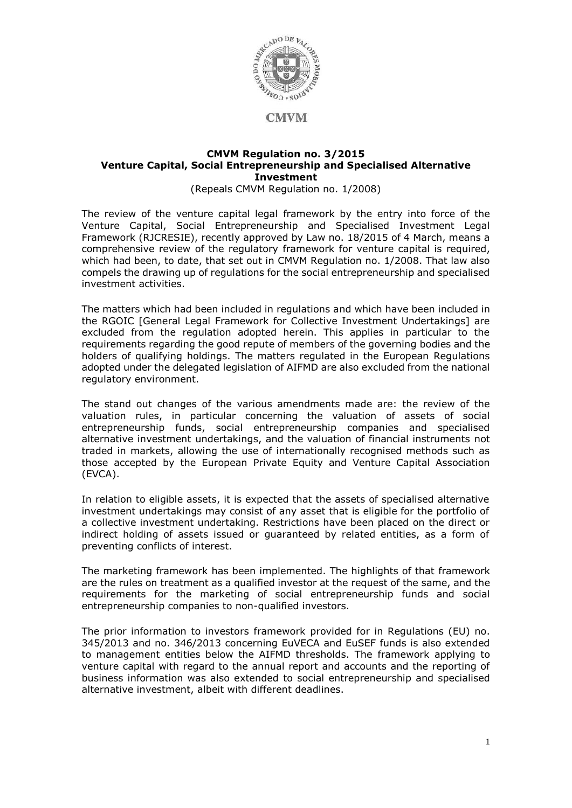

#### **CMVM Regulation no. 3/2015 Venture Capital, Social Entrepreneurship and Specialised Alternative Investment**

(Repeals CMVM Regulation no. 1/2008)

The review of the venture capital legal framework by the entry into force of the Venture Capital, Social Entrepreneurship and Specialised Investment Legal Framework (RJCRESIE), recently approved by Law no. 18/2015 of 4 March, means a comprehensive review of the regulatory framework for venture capital is required, which had been, to date, that set out in CMVM Regulation no. 1/2008. That law also compels the drawing up of regulations for the social entrepreneurship and specialised investment activities.

The matters which had been included in regulations and which have been included in the RGOIC [General Legal Framework for Collective Investment Undertakings] are excluded from the regulation adopted herein. This applies in particular to the requirements regarding the good repute of members of the governing bodies and the holders of qualifying holdings. The matters regulated in the European Regulations adopted under the delegated legislation of AIFMD are also excluded from the national regulatory environment.

The stand out changes of the various amendments made are: the review of the valuation rules, in particular concerning the valuation of assets of social entrepreneurship funds, social entrepreneurship companies and specialised alternative investment undertakings, and the valuation of financial instruments not traded in markets, allowing the use of internationally recognised methods such as those accepted by the European Private Equity and Venture Capital Association (EVCA).

In relation to eligible assets, it is expected that the assets of specialised alternative investment undertakings may consist of any asset that is eligible for the portfolio of a collective investment undertaking. Restrictions have been placed on the direct or indirect holding of assets issued or guaranteed by related entities, as a form of preventing conflicts of interest.

The marketing framework has been implemented. The highlights of that framework are the rules on treatment as a qualified investor at the request of the same, and the requirements for the marketing of social entrepreneurship funds and social entrepreneurship companies to non-qualified investors.

The prior information to investors framework provided for in Regulations (EU) no. 345/2013 and no. 346/2013 concerning EuVECA and EuSEF funds is also extended to management entities below the AIFMD thresholds. The framework applying to venture capital with regard to the annual report and accounts and the reporting of business information was also extended to social entrepreneurship and specialised alternative investment, albeit with different deadlines.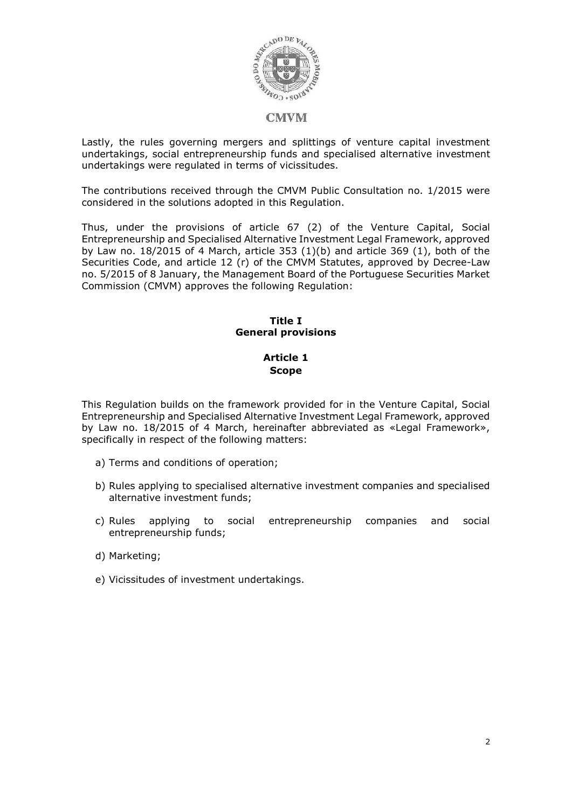

Lastly, the rules governing mergers and splittings of venture capital investment undertakings, social entrepreneurship funds and specialised alternative investment undertakings were regulated in terms of vicissitudes.

The contributions received through the CMVM Public Consultation no. 1/2015 were considered in the solutions adopted in this Regulation.

Thus, under the provisions of article 67 (2) of the Venture Capital, Social Entrepreneurship and Specialised Alternative Investment Legal Framework, approved by Law no.  $18/2015$  of 4 March, article 353  $(1)(b)$  and article 369  $(1)$ , both of the Securities Code, and article 12 (r) of the CMVM Statutes, approved by Decree-Law no. 5/2015 of 8 January, the Management Board of the Portuguese Securities Market Commission (CMVM) approves the following Regulation:

#### **Title I General provisions**

## **Article 1 Scope**

This Regulation builds on the framework provided for in the Venture Capital, Social Entrepreneurship and Specialised Alternative Investment Legal Framework, approved by Law no. 18/2015 of 4 March, hereinafter abbreviated as «Legal Framework», specifically in respect of the following matters:

- a) Terms and conditions of operation;
- b) Rules applying to specialised alternative investment companies and specialised alternative investment funds;
- c) Rules applying to social entrepreneurship companies and social entrepreneurship funds;
- d) Marketing;
- e) Vicissitudes of investment undertakings.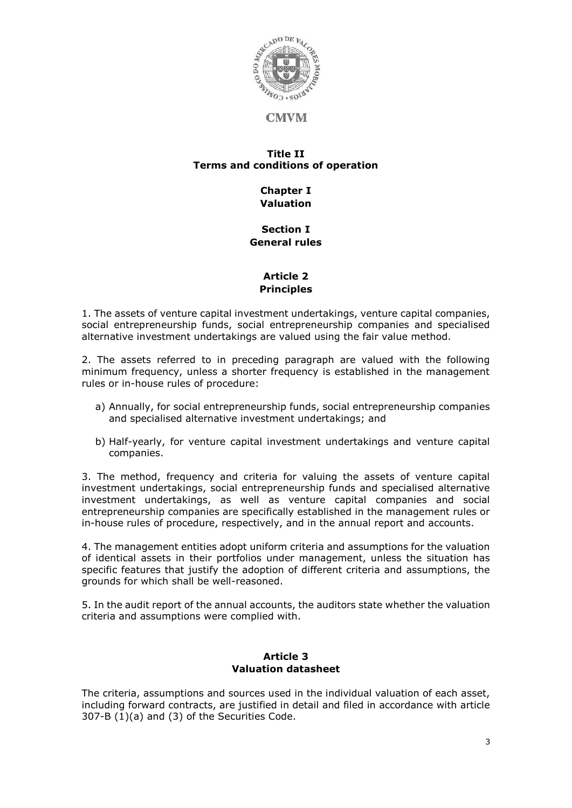

#### **Title II Terms and conditions of operation**

# **Chapter I Valuation**

#### **Section I General rules**

## **Article 2 Principles**

1. The assets of venture capital investment undertakings, venture capital companies, social entrepreneurship funds, social entrepreneurship companies and specialised alternative investment undertakings are valued using the fair value method.

2. The assets referred to in preceding paragraph are valued with the following minimum frequency, unless a shorter frequency is established in the management rules or in-house rules of procedure:

- a) Annually, for social entrepreneurship funds, social entrepreneurship companies and specialised alternative investment undertakings; and
- b) Half-yearly, for venture capital investment undertakings and venture capital companies.

3. The method, frequency and criteria for valuing the assets of venture capital investment undertakings, social entrepreneurship funds and specialised alternative investment undertakings, as well as venture capital companies and social entrepreneurship companies are specifically established in the management rules or in-house rules of procedure, respectively, and in the annual report and accounts.

4. The management entities adopt uniform criteria and assumptions for the valuation of identical assets in their portfolios under management, unless the situation has specific features that justify the adoption of different criteria and assumptions, the grounds for which shall be well-reasoned.

5. In the audit report of the annual accounts, the auditors state whether the valuation criteria and assumptions were complied with.

## **Article 3 Valuation datasheet**

The criteria, assumptions and sources used in the individual valuation of each asset, including forward contracts, are justified in detail and filed in accordance with article 307-B (1)(a) and (3) of the Securities Code.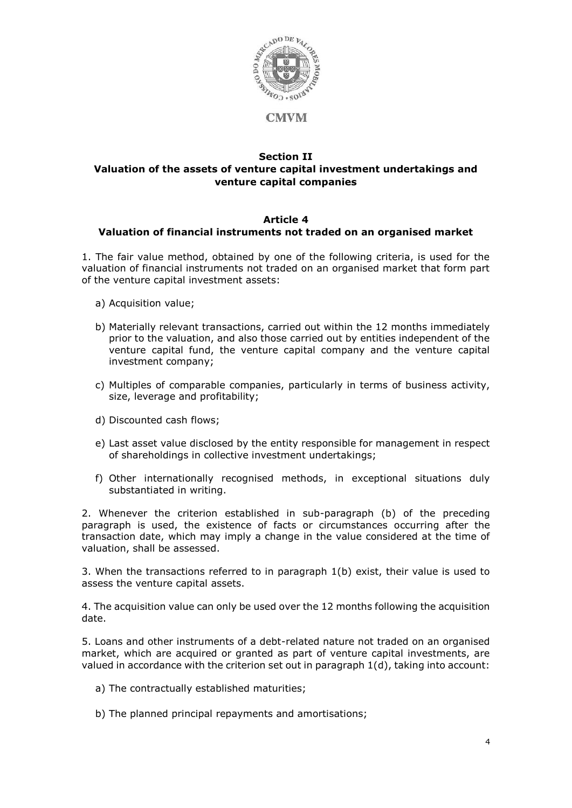

### **Section II Valuation of the assets of venture capital investment undertakings and venture capital companies**

## **Article 4 Valuation of financial instruments not traded on an organised market**

1. The fair value method, obtained by one of the following criteria, is used for the valuation of financial instruments not traded on an organised market that form part of the venture capital investment assets:

- a) Acquisition value;
- b) Materially relevant transactions, carried out within the 12 months immediately prior to the valuation, and also those carried out by entities independent of the venture capital fund, the venture capital company and the venture capital investment company;
- c) Multiples of comparable companies, particularly in terms of business activity, size, leverage and profitability;
- d) Discounted cash flows;
- e) Last asset value disclosed by the entity responsible for management in respect of shareholdings in collective investment undertakings;
- f) Other internationally recognised methods, in exceptional situations duly substantiated in writing.

2. Whenever the criterion established in sub-paragraph (b) of the preceding paragraph is used, the existence of facts or circumstances occurring after the transaction date, which may imply a change in the value considered at the time of valuation, shall be assessed.

3. When the transactions referred to in paragraph 1(b) exist, their value is used to assess the venture capital assets.

4. The acquisition value can only be used over the 12 months following the acquisition date.

5. Loans and other instruments of a debt-related nature not traded on an organised market, which are acquired or granted as part of venture capital investments, are valued in accordance with the criterion set out in paragraph 1(d), taking into account:

- a) The contractually established maturities;
- b) The planned principal repayments and amortisations;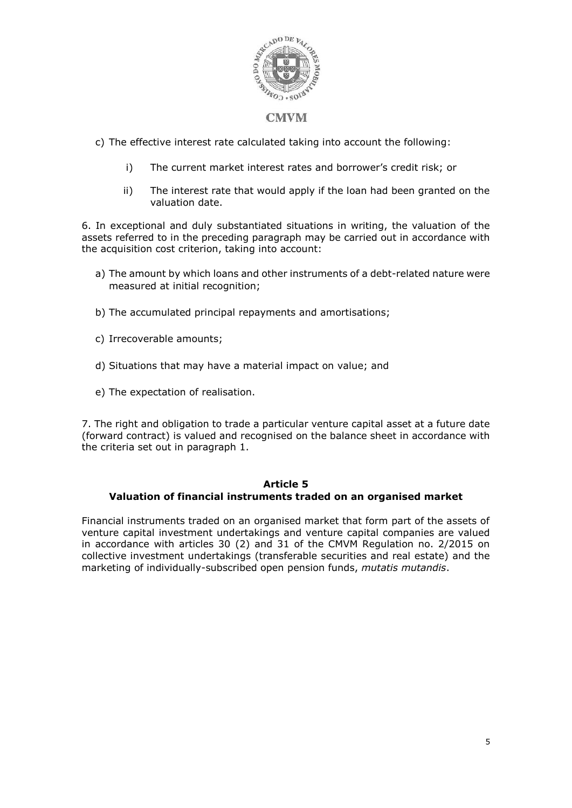

c) The effective interest rate calculated taking into account the following:

- i) The current market interest rates and borrower's credit risk; or
- ii) The interest rate that would apply if the loan had been granted on the valuation date.

6. In exceptional and duly substantiated situations in writing, the valuation of the assets referred to in the preceding paragraph may be carried out in accordance with the acquisition cost criterion, taking into account:

- a) The amount by which loans and other instruments of a debt-related nature were measured at initial recognition;
- b) The accumulated principal repayments and amortisations;
- c) Irrecoverable amounts;
- d) Situations that may have a material impact on value; and
- e) The expectation of realisation.

7. The right and obligation to trade a particular venture capital asset at a future date (forward contract) is valued and recognised on the balance sheet in accordance with the criteria set out in paragraph 1.

### **Article 5**

## **Valuation of financial instruments traded on an organised market**

Financial instruments traded on an organised market that form part of the assets of venture capital investment undertakings and venture capital companies are valued in accordance with articles 30 (2) and 31 of the CMVM Regulation no. 2/2015 on collective investment undertakings (transferable securities and real estate) and the marketing of individually-subscribed open pension funds, *mutatis mutandis*.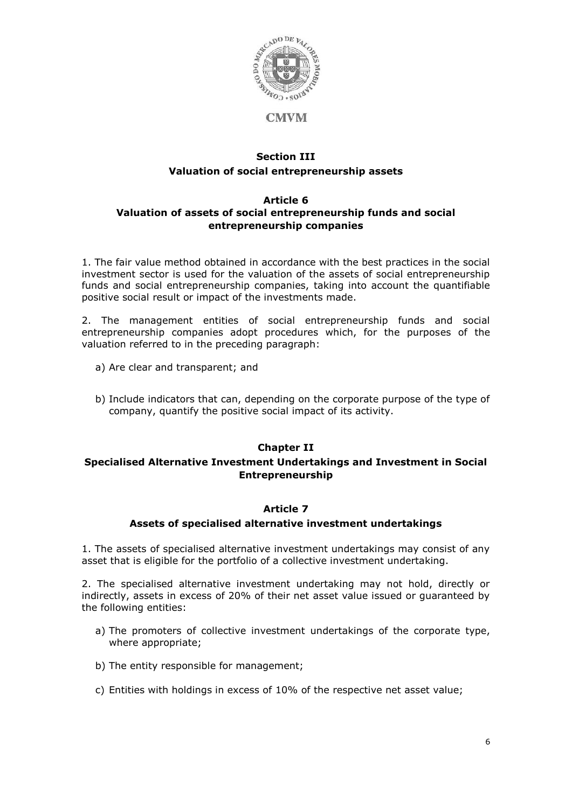

## **Section III Valuation of social entrepreneurship assets**

### **Article 6 Valuation of assets of social entrepreneurship funds and social entrepreneurship companies**

1. The fair value method obtained in accordance with the best practices in the social investment sector is used for the valuation of the assets of social entrepreneurship funds and social entrepreneurship companies, taking into account the quantifiable positive social result or impact of the investments made.

2. The management entities of social entrepreneurship funds and social entrepreneurship companies adopt procedures which, for the purposes of the valuation referred to in the preceding paragraph:

- a) Are clear and transparent; and
- b) Include indicators that can, depending on the corporate purpose of the type of company, quantify the positive social impact of its activity.

### **Chapter II**

### **Specialised Alternative Investment Undertakings and Investment in Social Entrepreneurship**

### **Article 7**

### **Assets of specialised alternative investment undertakings**

1. The assets of specialised alternative investment undertakings may consist of any asset that is eligible for the portfolio of a collective investment undertaking.

2. The specialised alternative investment undertaking may not hold, directly or indirectly, assets in excess of 20% of their net asset value issued or guaranteed by the following entities:

- a) The promoters of collective investment undertakings of the corporate type, where appropriate;
- b) The entity responsible for management;
- c) Entities with holdings in excess of 10% of the respective net asset value;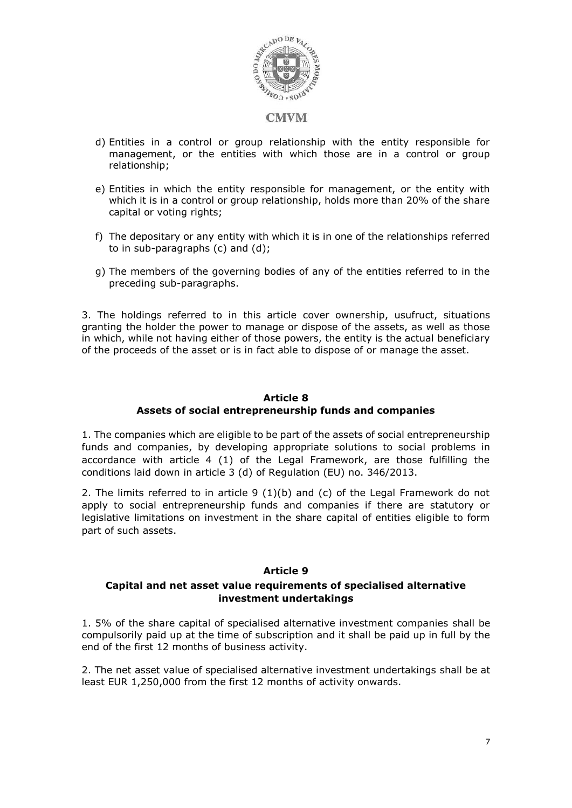

- d) Entities in a control or group relationship with the entity responsible for management, or the entities with which those are in a control or group relationship;
- e) Entities in which the entity responsible for management, or the entity with which it is in a control or group relationship, holds more than 20% of the share capital or voting rights;
- f) The depositary or any entity with which it is in one of the relationships referred to in sub-paragraphs (c) and (d);
- g) The members of the governing bodies of any of the entities referred to in the preceding sub-paragraphs.

3. The holdings referred to in this article cover ownership, usufruct, situations granting the holder the power to manage or dispose of the assets, as well as those in which, while not having either of those powers, the entity is the actual beneficiary of the proceeds of the asset or is in fact able to dispose of or manage the asset.

#### **Article 8 Assets of social entrepreneurship funds and companies**

1. The companies which are eligible to be part of the assets of social entrepreneurship funds and companies, by developing appropriate solutions to social problems in accordance with article 4 (1) of the Legal Framework, are those fulfilling the conditions laid down in article 3 (d) of Regulation (EU) no. 346/2013.

2. The limits referred to in article 9 (1)(b) and (c) of the Legal Framework do not apply to social entrepreneurship funds and companies if there are statutory or legislative limitations on investment in the share capital of entities eligible to form part of such assets.

### **Article 9**

### **Capital and net asset value requirements of specialised alternative investment undertakings**

1. 5% of the share capital of specialised alternative investment companies shall be compulsorily paid up at the time of subscription and it shall be paid up in full by the end of the first 12 months of business activity.

2. The net asset value of specialised alternative investment undertakings shall be at least EUR 1,250,000 from the first 12 months of activity onwards.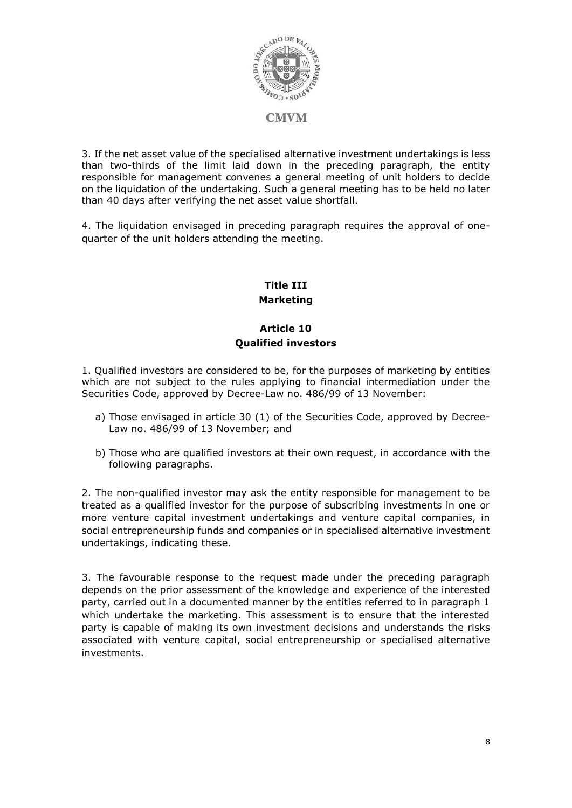

3. If the net asset value of the specialised alternative investment undertakings is less than two-thirds of the limit laid down in the preceding paragraph, the entity responsible for management convenes a general meeting of unit holders to decide on the liquidation of the undertaking. Such a general meeting has to be held no later than 40 days after verifying the net asset value shortfall.

4. The liquidation envisaged in preceding paragraph requires the approval of onequarter of the unit holders attending the meeting.

# **Title III Marketing**

## **Article 10 Qualified investors**

1. Qualified investors are considered to be, for the purposes of marketing by entities which are not subject to the rules applying to financial intermediation under the Securities Code, approved by Decree-Law no. 486/99 of 13 November:

- a) Those envisaged in article 30 (1) of the Securities Code, approved by Decree-Law no. 486/99 of 13 November; and
- b) Those who are qualified investors at their own request, in accordance with the following paragraphs.

2. The non-qualified investor may ask the entity responsible for management to be treated as a qualified investor for the purpose of subscribing investments in one or more venture capital investment undertakings and venture capital companies, in social entrepreneurship funds and companies or in specialised alternative investment undertakings, indicating these.

3. The favourable response to the request made under the preceding paragraph depends on the prior assessment of the knowledge and experience of the interested party, carried out in a documented manner by the entities referred to in paragraph 1 which undertake the marketing. This assessment is to ensure that the interested party is capable of making its own investment decisions and understands the risks associated with venture capital, social entrepreneurship or specialised alternative investments.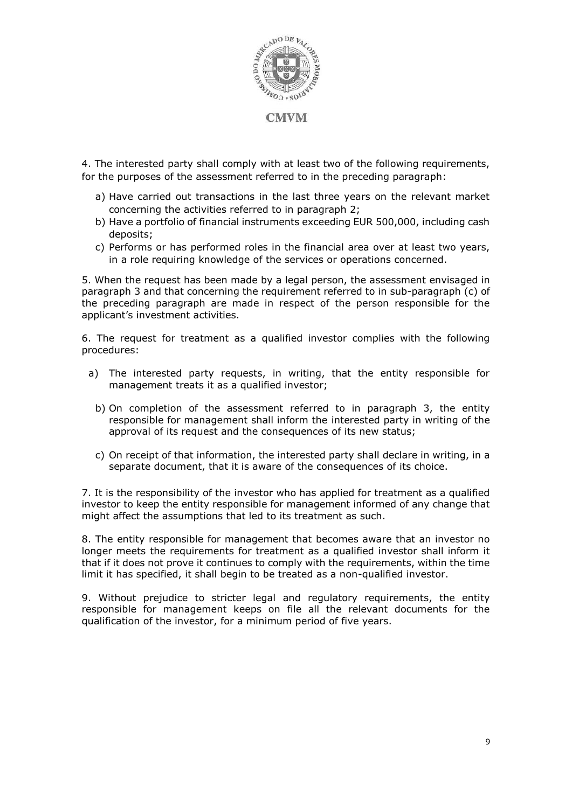

4. The interested party shall comply with at least two of the following requirements, for the purposes of the assessment referred to in the preceding paragraph:

- a) Have carried out transactions in the last three years on the relevant market concerning the activities referred to in paragraph 2;
- b) Have a portfolio of financial instruments exceeding EUR 500,000, including cash deposits;
- c) Performs or has performed roles in the financial area over at least two years, in a role requiring knowledge of the services or operations concerned.

5. When the request has been made by a legal person, the assessment envisaged in paragraph 3 and that concerning the requirement referred to in sub-paragraph (c) of the preceding paragraph are made in respect of the person responsible for the applicant's investment activities.

6. The request for treatment as a qualified investor complies with the following procedures:

- a) The interested party requests, in writing, that the entity responsible for management treats it as a qualified investor;
	- b) On completion of the assessment referred to in paragraph 3, the entity responsible for management shall inform the interested party in writing of the approval of its request and the consequences of its new status;
	- c) On receipt of that information, the interested party shall declare in writing, in a separate document, that it is aware of the consequences of its choice.

7. It is the responsibility of the investor who has applied for treatment as a qualified investor to keep the entity responsible for management informed of any change that might affect the assumptions that led to its treatment as such.

8. The entity responsible for management that becomes aware that an investor no longer meets the requirements for treatment as a qualified investor shall inform it that if it does not prove it continues to comply with the requirements, within the time limit it has specified, it shall begin to be treated as a non-qualified investor.

9. Without prejudice to stricter legal and regulatory requirements, the entity responsible for management keeps on file all the relevant documents for the qualification of the investor, for a minimum period of five years.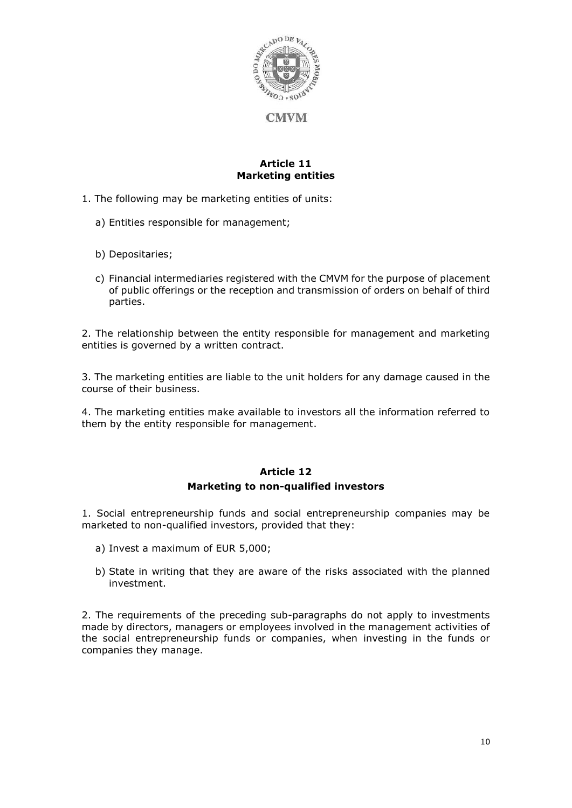

#### **Article 11 Marketing entities**

- 1. The following may be marketing entities of units:
	- a) Entities responsible for management;
	- b) Depositaries;
	- c) Financial intermediaries registered with the CMVM for the purpose of placement of public offerings or the reception and transmission of orders on behalf of third parties.

2. The relationship between the entity responsible for management and marketing entities is governed by a written contract.

3. The marketing entities are liable to the unit holders for any damage caused in the course of their business.

4. The marketing entities make available to investors all the information referred to them by the entity responsible for management.

## **Article 12 Marketing to non-qualified investors**

1. Social entrepreneurship funds and social entrepreneurship companies may be marketed to non-qualified investors, provided that they:

- a) Invest a maximum of EUR 5,000;
- b) State in writing that they are aware of the risks associated with the planned investment.

2. The requirements of the preceding sub-paragraphs do not apply to investments made by directors, managers or employees involved in the management activities of the social entrepreneurship funds or companies, when investing in the funds or companies they manage.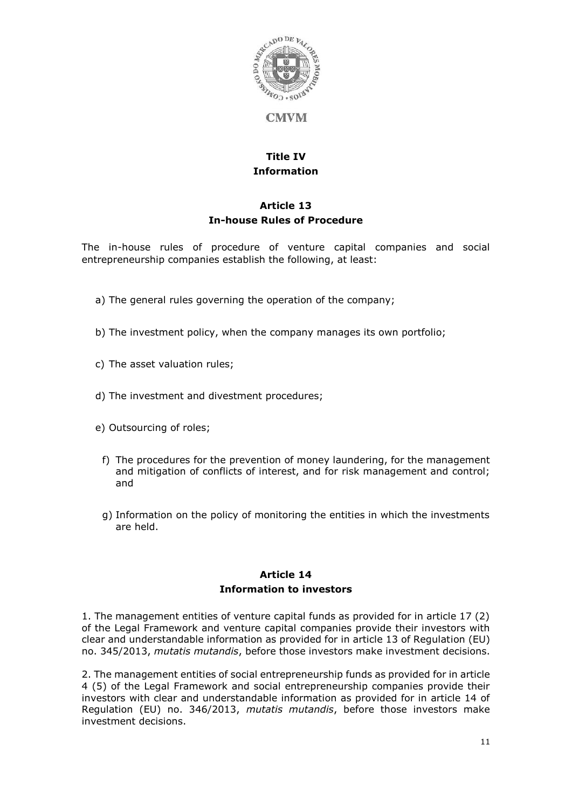

# **Title IV Information**

# **Article 13 In-house Rules of Procedure**

The in-house rules of procedure of venture capital companies and social entrepreneurship companies establish the following, at least:

- a) The general rules governing the operation of the company;
- b) The investment policy, when the company manages its own portfolio;
- c) The asset valuation rules;
- d) The investment and divestment procedures;
- e) Outsourcing of roles;
	- f) The procedures for the prevention of money laundering, for the management and mitigation of conflicts of interest, and for risk management and control; and
	- g) Information on the policy of monitoring the entities in which the investments are held.

## **Article 14 Information to investors**

1. The management entities of venture capital funds as provided for in article 17 (2) of the Legal Framework and venture capital companies provide their investors with clear and understandable information as provided for in article 13 of Regulation (EU) no. 345/2013, *mutatis mutandis*, before those investors make investment decisions.

2. The management entities of social entrepreneurship funds as provided for in article 4 (5) of the Legal Framework and social entrepreneurship companies provide their investors with clear and understandable information as provided for in article 14 of Regulation (EU) no. 346/2013, *mutatis mutandis*, before those investors make investment decisions.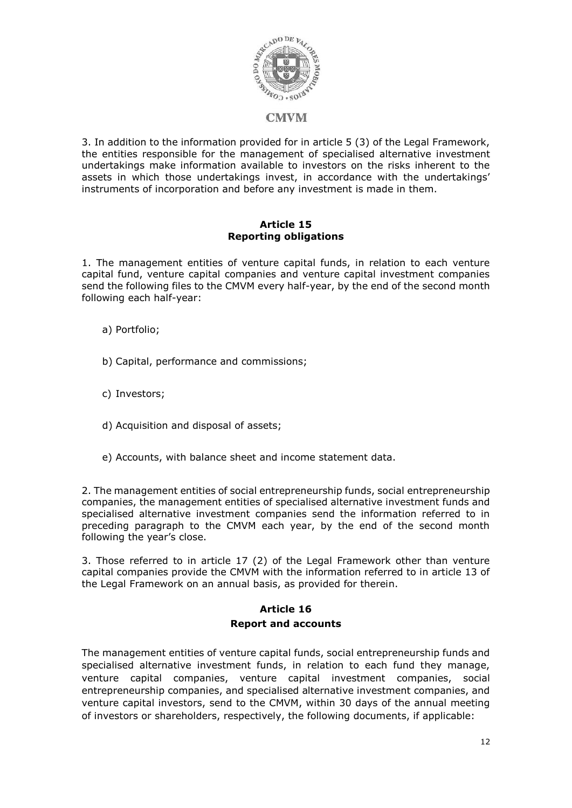

3. In addition to the information provided for in article 5 (3) of the Legal Framework, the entities responsible for the management of specialised alternative investment undertakings make information available to investors on the risks inherent to the assets in which those undertakings invest, in accordance with the undertakings' instruments of incorporation and before any investment is made in them.

#### **Article 15 Reporting obligations**

1. The management entities of venture capital funds, in relation to each venture capital fund, venture capital companies and venture capital investment companies send the following files to the CMVM every half-year, by the end of the second month following each half-year:

- a) Portfolio;
- b) Capital, performance and commissions;
- c) Investors;
- d) Acquisition and disposal of assets;
- e) Accounts, with balance sheet and income statement data.

2. The management entities of social entrepreneurship funds, social entrepreneurship companies, the management entities of specialised alternative investment funds and specialised alternative investment companies send the information referred to in preceding paragraph to the CMVM each year, by the end of the second month following the year's close.

3. Those referred to in article 17 (2) of the Legal Framework other than venture capital companies provide the CMVM with the information referred to in article 13 of the Legal Framework on an annual basis, as provided for therein.

## **Article 16 Report and accounts**

The management entities of venture capital funds, social entrepreneurship funds and specialised alternative investment funds, in relation to each fund they manage, venture capital companies, venture capital investment companies, social entrepreneurship companies, and specialised alternative investment companies, and venture capital investors, send to the CMVM, within 30 days of the annual meeting of investors or shareholders, respectively, the following documents, if applicable: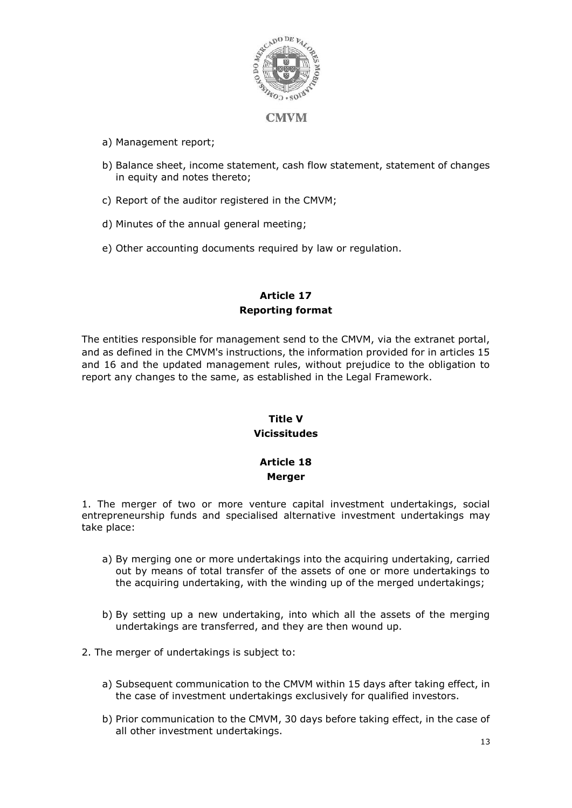

- a) Management report;
- b) Balance sheet, income statement, cash flow statement, statement of changes in equity and notes thereto;
- c) Report of the auditor registered in the CMVM;
- d) Minutes of the annual general meeting;
- e) Other accounting documents required by law or regulation.

## **Article 17 Reporting format**

The entities responsible for management send to the CMVM, via the extranet portal, and as defined in the CMVM's instructions, the information provided for in articles 15 and 16 and the updated management rules, without prejudice to the obligation to report any changes to the same, as established in the Legal Framework.

# **Title V Vicissitudes**

## **Article 18 Merger**

1. The merger of two or more venture capital investment undertakings, social entrepreneurship funds and specialised alternative investment undertakings may take place:

- a) By merging one or more undertakings into the acquiring undertaking, carried out by means of total transfer of the assets of one or more undertakings to the acquiring undertaking, with the winding up of the merged undertakings;
- b) By setting up a new undertaking, into which all the assets of the merging undertakings are transferred, and they are then wound up.
- 2. The merger of undertakings is subject to:
	- a) Subsequent communication to the CMVM within 15 days after taking effect, in the case of investment undertakings exclusively for qualified investors.
	- b) Prior communication to the CMVM, 30 days before taking effect, in the case of all other investment undertakings.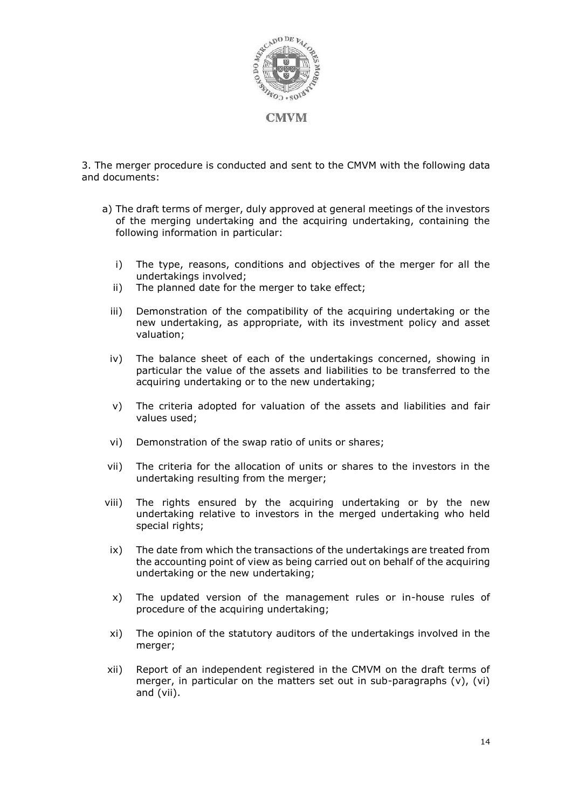

3. The merger procedure is conducted and sent to the CMVM with the following data and documents:

- a) The draft terms of merger, duly approved at general meetings of the investors of the merging undertaking and the acquiring undertaking, containing the following information in particular:
	- i) The type, reasons, conditions and objectives of the merger for all the undertakings involved;
	- ii) The planned date for the merger to take effect;
	- iii) Demonstration of the compatibility of the acquiring undertaking or the new undertaking, as appropriate, with its investment policy and asset valuation;
	- iv) The balance sheet of each of the undertakings concerned, showing in particular the value of the assets and liabilities to be transferred to the acquiring undertaking or to the new undertaking;
	- v) The criteria adopted for valuation of the assets and liabilities and fair values used;
	- vi) Demonstration of the swap ratio of units or shares;
- vii) The criteria for the allocation of units or shares to the investors in the undertaking resulting from the merger;
- viii) The rights ensured by the acquiring undertaking or by the new undertaking relative to investors in the merged undertaking who held special rights;
- ix) The date from which the transactions of the undertakings are treated from the accounting point of view as being carried out on behalf of the acquiring undertaking or the new undertaking;
- x) The updated version of the management rules or in-house rules of procedure of the acquiring undertaking;
- xi) The opinion of the statutory auditors of the undertakings involved in the merger;
- xii) Report of an independent registered in the CMVM on the draft terms of merger, in particular on the matters set out in sub-paragraphs (v), (vi) and (vii).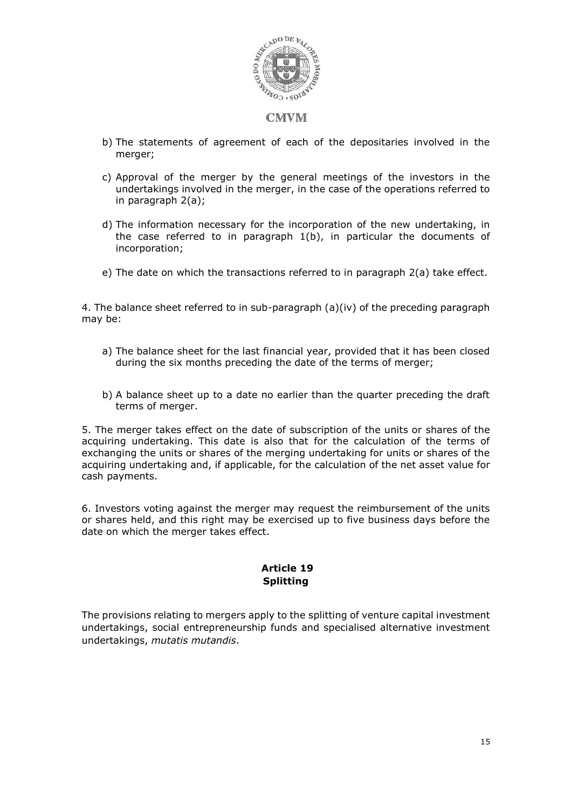

- b) The statements of agreement of each of the depositaries involved in the merger;
- c) Approval of the merger by the general meetings of the investors in the undertakings involved in the merger, in the case of the operations referred to in paragraph 2(a);
- d) The information necessary for the incorporation of the new undertaking, in the case referred to in paragraph  $1(b)$ , in particular the documents of incorporation;
- e) The date on which the transactions referred to in paragraph 2(a) take effect.

4. The balance sheet referred to in sub-paragraph  $(a)(iv)$  of the preceding paragraph may be:

- a) The balance sheet for the last financial year, provided that it has been closed during the six months preceding the date of the terms of merger;
- b) A balance sheet up to a date no earlier than the quarter preceding the draft terms of merger.

5. The merger takes effect on the date of subscription of the units or shares of the acquiring undertaking. This date is also that for the calculation of the terms of exchanging the units or shares of the merging undertaking for units or shares of the acquiring undertaking and, if applicable, for the calculation of the net asset value for cash payments.

6. Investors voting against the merger may request the reimbursement of the units or shares held, and this right may be exercised up to five business days before the date on which the merger takes effect.

#### **Article 19 Splitting**

The provisions relating to mergers apply to the splitting of venture capital investment undertakings, social entrepreneurship funds and specialised alternative investment undertakings, *mutatis mutandis*.